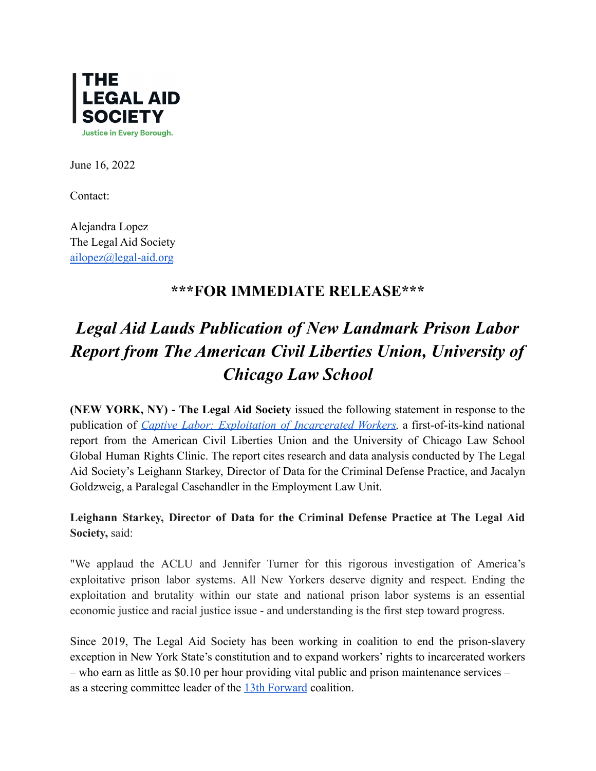

June 16, 2022

Contact:

Alejandra Lopez The Legal Aid Society [ailopez@legal-aid.org](mailto:ailopez@legal-aid.org)

## **\*\*\*FOR IMMEDIATE RELEASE\*\*\***

## *Legal Aid Lauds Publication of New Landmark Prison Labor Report from The American Civil Liberties Union, University of Chicago Law School*

**(NEW YORK, NY) - The Legal Aid Society** issued the following statement in response to the publication of *Captive Labor: Exploitation of [Incarcerated](https://www.aclu.org/captivelabor) Workers,* a first-of-its-kind national report from the American Civil Liberties Union and the University of Chicago Law School Global Human Rights Clinic. The report cites research and data analysis conducted by The Legal Aid Society's Leighann Starkey, Director of Data for the Criminal Defense Practice, and Jacalyn Goldzweig, a Paralegal Casehandler in the Employment Law Unit.

**Leighann Starkey, Director of Data for the Criminal Defense Practice at The Legal Aid Society,** said:

"We applaud the ACLU and Jennifer Turner for this rigorous investigation of America's exploitative prison labor systems. All New Yorkers deserve dignity and respect. Ending the exploitation and brutality within our state and national prison labor systems is an essential economic justice and racial justice issue - and understanding is the first step toward progress.

Since 2019, The Legal Aid Society has been working in coalition to end the prison-slavery exception in New York State's constitution and to expand workers' rights to incarcerated workers – who earn as little as \$0.10 per hour providing vital public and prison maintenance services – as a steering committee leader of the [13th Forward](https://13thforward.com/) coalition.